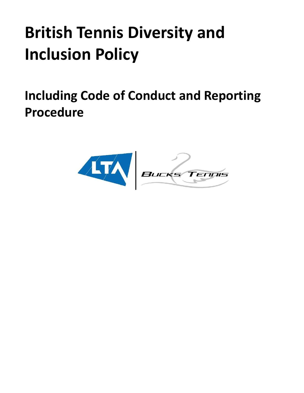# **British Tennis Diversity and Inclusion Policy**

<span id="page-0-0"></span>**Including Code of Conduct and Reporting Procedure**

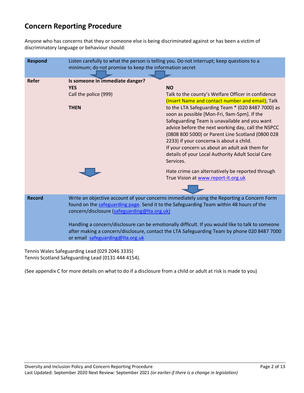# **Concern Reporting Procedure**

Anyone who has concerns that they or someone else is being discriminated against or has been a victim of discriminatory language or behaviour should:

| <b>Respond</b> | Listen carefully to what the person is telling you. Do not interrupt; keep questions to a<br>minimum; do not promise to keep the information secret                                                                                                                                                                                                                                                                                                                          |                                                                                                                                                                                                                                                                                                                                                                                                                                                                                                                                                     |
|----------------|------------------------------------------------------------------------------------------------------------------------------------------------------------------------------------------------------------------------------------------------------------------------------------------------------------------------------------------------------------------------------------------------------------------------------------------------------------------------------|-----------------------------------------------------------------------------------------------------------------------------------------------------------------------------------------------------------------------------------------------------------------------------------------------------------------------------------------------------------------------------------------------------------------------------------------------------------------------------------------------------------------------------------------------------|
| <b>Refer</b>   | Is someone in immediate danger?<br><b>YES</b><br>Call the police (999)<br><b>THEN</b>                                                                                                                                                                                                                                                                                                                                                                                        | <b>NO</b><br>Talk to the county's Welfare Officer in confidence<br>(Insert Name and contact number and email); Talk<br>to the LTA Safeguarding Team * (020 8487 7000) as<br>soon as possible [Mon-Fri, 9am-5pm]. If the<br>Safeguarding Team is unavailable and you want<br>advice before the next working day, call the NSPCC<br>(0808 800 5000) or Parent Line Scotland (0800 028<br>2233) if your concerns is about a child.<br>If your concern us about an adult ask them for<br>details of your Local Authority Adult Social Care<br>Services. |
|                |                                                                                                                                                                                                                                                                                                                                                                                                                                                                              | Hate crime can alternatively be reported through<br>True Vision at www.report-it.org.uk                                                                                                                                                                                                                                                                                                                                                                                                                                                             |
| <b>Record</b>  | Write an objective account of your concerns immediately using the Reporting a Concern Form<br>found on the safeguarding page. Send it to the Safeguarding Team within 48 hours of the<br>concern/disclosure (safeguarding@Ita.org.uk)<br>Handling a concern/disclosure can be emotionally difficult. If you would like to talk to someone<br>after making a concern/disclosure, contact the LTA Safeguarding Team by phone 020 8487 7000<br>or email safeguarding@Ita.org.uk |                                                                                                                                                                                                                                                                                                                                                                                                                                                                                                                                                     |

Tennis Wales Safeguarding Lead (029 2046 3335) Tennis Scotland Safeguarding Lead (0131 444 4154).

(See appendix C for more details on what to do if a disclosure from a child or adult at risk is made to you)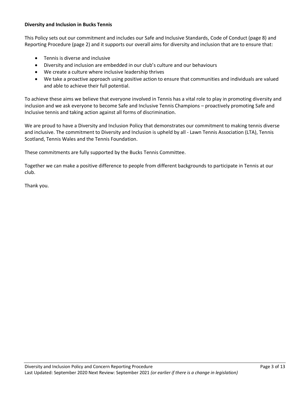#### **Diversity and Inclusion in Bucks Tennis**

This Policy sets out our commitment and includes our Safe and Inclusive Standards, Code of Conduct (page 8) and Reporting Procedure (page 2) and it supports our overall aims for diversity and inclusion that are to ensure that:

- Tennis is diverse and inclusive
- Diversity and inclusion are embedded in our club's culture and our behaviours
- We create a culture where inclusive leadership thrives
- We take a proactive approach using positive action to ensure that communities and individuals are valued and able to achieve their full potential.

To achieve these aims we believe that everyone involved in Tennis has a vital role to play in promoting diversity and inclusion and we ask everyone to become Safe and Inclusive Tennis Champions – proactively promoting Safe and Inclusive tennis and taking action against all forms of discrimination.

We are proud to have a Diversity and Inclusion Policy that demonstrates our commitment to making tennis diverse and inclusive. The commitment to Diversity and Inclusion is upheld by all - Lawn Tennis Association (LTA), Tennis Scotland, Tennis Wales and the Tennis Foundation.

These commitments are fully supported by the Bucks Tennis Committee.

Together we can make a positive difference to people from different backgrounds to participate in Tennis at our club.

Thank you.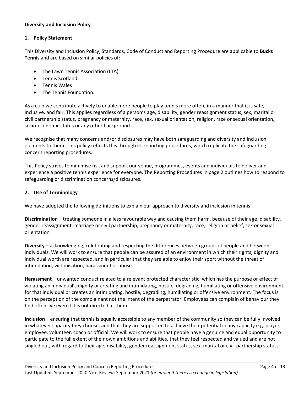#### **Diversity and Inclusion Policy**

#### **1. Policy Statement**

This Diversity and Inclusion Policy, Standards, Code of Conduct and Reporting Procedure are applicable to **Bucks Tennis** and are based on similar policies of:

- The Lawn Tennis Association (LTA)
- Tennis Scotland
- Tennis Wales
- The Tennis Foundation.

As a club we contribute actively to enable more people to play tennis more often, in a manner that it is safe, inclusive, and fair. This applies regardless of a person's age, disability, gender reassignment status, sex, marital or civil partnership status, pregnancy or maternity, race, sex, sexual orientation, religion, race or sexual orientation, socio-economic status or any other background.

We recognise that many concerns and/or disclosures may have both safeguarding and diversity and inclusion elements to them. This policy reflects this through its reporting procedures, which replicate the safeguarding concern reporting procedures.

This Policy strives to minimise risk and support our venue, programmes, events and individuals to deliver and experience a positive tennis experience for everyone. The Reporting Procedures in page 2 outlines how to respond to safeguarding or discrimination concerns/disclosures.

#### **2. Use of Terminology**

We have adopted the following definitions to explain our approach to diversity and inclusion in tennis:

**Discrimination** – treating someone in a less favourable way and causing them harm, because of their age, disability, gender reassignment, marriage or civil partnership, pregnancy or maternity, race, religion or belief, sex or sexual orientation

**Diversity** – acknowledging, celebrating and respecting the differences between groups of people and between individuals. We will work to ensure that people can be assured of an environment in which their rights, dignity and individual worth are respected, and in particular that they are able to enjoy their sport without the threat of intimidation, victimisation, harassment or abuse.

**Harassment** – unwanted conduct related to a relevant protected characteristic, which has the purpose or effect of violating an individual's dignity or creating and intimidating, hostile, degrading, humiliating or offensive environment for that individual or creates an intimidating, hostile, degrading, humiliating or offensive environment. The focus is on the perception of the complainant not the intent of the perpetrator. Employees can complain of behaviour they find offensive even if it is not directed at them.

**Inclusion** – ensuring that tennis is equally accessible to any member of the community so they can be fully involved in whatever capacity they choose; and that they are supported to achieve their potential in any capacity e.g. player, employee, volunteer, coach or official. We will work to ensure that people have a genuine and equal opportunity to participate to the full extent of their own ambitions and abilities, that they feel respected and valued and are not singled out, with regard to their age, disability, gender reassignment status, sex, marital or civil partnership status,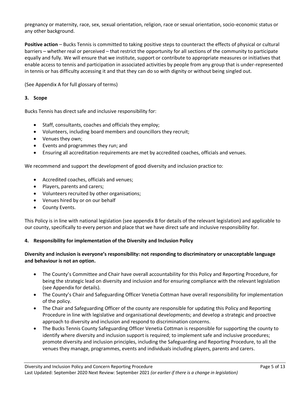pregnancy or maternity, race, sex, sexual orientation, religion, race or sexual orientation, socio-economic status or any other background.

**Positive action** – Bucks Tennis is committed to taking positive steps to counteract the effects of physical or cultural barriers – whether real or perceived – that restrict the opportunity for all sections of the community to participate equally and fully. We will ensure that we institute, support or contribute to appropriate measures or initiatives that enable access to tennis and participation in associated activities by people from any group that is under-represented in tennis or has difficulty accessing it and that they can do so with dignity or without being singled out.

(See Appendix A for full glossary of terms)

# **3. Scope**

Bucks Tennis has direct safe and inclusive responsibility for:

- Staff, consultants, coaches and officials they employ;
- Volunteers, including board members and councillors they recruit;
- Venues they own;
- Events and programmes they run; and
- Ensuring all accreditation requirements are met by accredited coaches, officials and venues.

We recommend and support the development of good diversity and inclusion practice to:

- Accredited coaches, officials and venues;
- Players, parents and carers;
- Volunteers recruited by other organisations;
- Venues hired by or on our behalf
- County Events.

This Policy is in line with national legislation (see appendix B for details of the relevant legislation) and applicable to our county, specifically to every person and place that we have direct safe and inclusive responsibility for.

#### **4. Responsibility for implementation of the Diversity and Inclusion Policy**

#### **Diversity and inclusion is everyone's responsibility: not responding to discriminatory or unacceptable language and behaviour is not an option.**

- The County's Committee and Chair have overall accountability for this Policy and Reporting Procedure, for being the strategic lead on diversity and inclusion and for ensuring compliance with the relevant legislation (see Appendix for details).
- The County's Chair and Safeguarding Officer Venetia Cottman have overall responsibility for implementation of the policy.
- The Chair and Safeguarding Officer of the county are responsible for updating this Policy and Reporting Procedure in line with legislative and organisational developments; and develop a strategic and proactive approach to diversity and inclusion and respond to discrimination concerns.
- The Bucks Tennis County Safeguarding Officer Venetia Cottman is responsible for supporting the county to identify where diversity and inclusion support is required; to implement safe and inclusive procedures; promote diversity and inclusion principles, including the Safeguarding and Reporting Procedure, to all the venues they manage, programmes, events and individuals including players, parents and carers.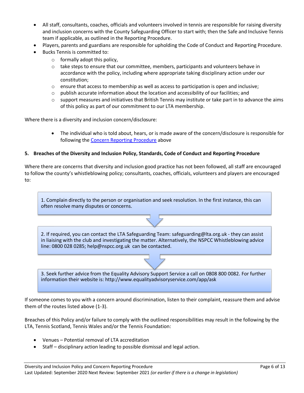- All staff, consultants, coaches, officials and volunteers involved in tennis are responsible for raising diversity and inclusion concerns with the County Safeguarding Officer to start with; then the Safe and Inclusive Tennis team if applicable, as outlined in the Reporting Procedure.
- Players, parents and guardians are responsible for upholding the Code of Conduct and Reporting Procedure.
- Bucks Tennis is committed to:
	- $\circ$  formally adopt this policy,
	- $\circ$  take steps to ensure that our committee, members, participants and volunteers behave in accordance with the policy, including where appropriate taking disciplinary action under our constitution;
	- $\circ$  ensure that access to membership as well as access to participation is open and inclusive;
	- $\circ$  publish accurate information about the location and accessibility of our facilities; and
	- o support measures and initiatives that British Tennis may institute or take part in to advance the aims of this policy as part of our commitment to our LTA membership.

Where there is a diversity and inclusion concern/disclosure:

• The individual who is told about, hears, or is made aware of the concern/disclosure is responsible for following the [Concern Reporting Procedure](#page-0-0) above

#### **5. Breaches of the Diversity and Inclusion Policy, Standards, Code of Conduct and Reporting Procedure**

Where there are concerns that diversity and inclusion good practice has not been followed, all staff are encouraged to follow the county's whistleblowing policy; consultants, coaches, officials, volunteers and players are encouraged to:

1. Complain directly to the person or organisation and seek resolution. In the first instance, this can often resolve many disputes or concerns.

2. If required, you can contact the LTA Safeguarding Team: safeguarding@lta.org.uk - they can assist in liaising with the club and investigating the matter. Alternatively, the NSPCC Whistleblowing advice line: 0800 028 0285; help@nspcc.org.uk can be contacted.

3. Seek further advice from the Equality Advisory Support Service a call on 0808 800 0082. For further information their website is: http://www.equalityadvisoryservice.com/app/ask

If someone comes to you with a concern around discrimination, listen to their complaint, reassure them and advise them of the routes listed above (1-3).

Breaches of this Policy and/or failure to comply with the outlined responsibilities may result in the following by the LTA, Tennis Scotland, Tennis Wales and/or the Tennis Foundation:

- Venues Potential removal of LTA accreditation
- Staff disciplinary action leading to possible dismissal and legal action.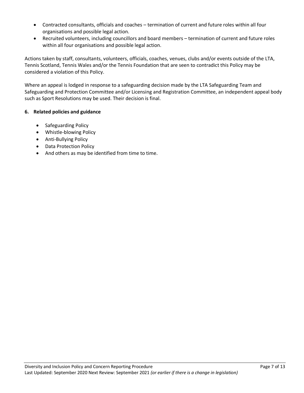- Contracted consultants, officials and coaches termination of current and future roles within all four organisations and possible legal action.
- Recruited volunteers, including councillors and board members termination of current and future roles within all four organisations and possible legal action.

Actions taken by staff, consultants, volunteers, officials, coaches, venues, clubs and/or events outside of the LTA, Tennis Scotland, Tennis Wales and/or the Tennis Foundation that are seen to contradict this Policy may be considered a violation of this Policy.

Where an appeal is lodged in response to a safeguarding decision made by the LTA Safeguarding Team and Safeguarding and Protection Committee and/or Licensing and Registration Committee, an independent appeal body such as Sport Resolutions may be used. Their decision is final.

# **6. Related policies and guidance**

- Safeguarding Policy
- Whistle-blowing Policy
- Anti-Bullying Policy
- Data Protection Policy
- And others as may be identified from time to time.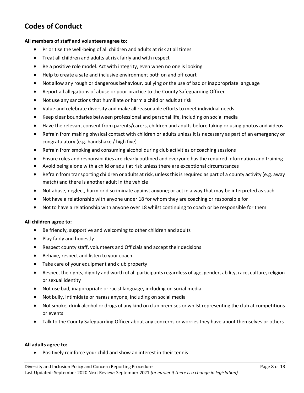# **Codes of Conduct**

#### **All members of staff and volunteers agree to:**

- Prioritise the well-being of all children and adults at risk at all times
- Treat all children and adults at risk fairly and with respect
- Be a positive role model. Act with integrity, even when no one is looking
- Help to create a safe and inclusive environment both on and off court
- Not allow any rough or dangerous behaviour, bullying or the use of bad or inappropriate language
- Report all allegations of abuse or poor practice to the County Safeguarding Officer
- Not use any sanctions that humiliate or harm a child or adult at risk
- Value and celebrate diversity and make all reasonable efforts to meet individual needs
- Keep clear boundaries between professional and personal life, including on social media
- Have the relevant consent from parents/carers, children and adults before taking or using photos and videos
- Refrain from making physical contact with children or adults unless it is necessary as part of an emergency or congratulatory (e.g. handshake / high five)
- Refrain from smoking and consuming alcohol during club activities or coaching sessions
- Ensure roles and responsibilities are clearly outlined and everyone has the required information and training
- Avoid being alone with a child or adult at risk unless there are exceptional circumstances
- Refrain from transporting children or adults at risk, unless this is required as part of a county activity (e.g. away match) and there is another adult in the vehicle
- Not abuse, neglect, harm or discriminate against anyone; or act in a way that may be interpreted as such
- Not have a relationship with anyone under 18 for whom they are coaching or responsible for
- Not to have a relationship with anyone over 18 whilst continuing to coach or be responsible for them

#### **All children agree to:**

- Be friendly, supportive and welcoming to other children and adults
- Play fairly and honestly
- Respect county staff, volunteers and Officials and accept their decisions
- Behave, respect and listen to your coach
- Take care of your equipment and club property
- Respect the rights, dignity and worth of all participants regardless of age, gender, ability, race, culture, religion or sexual identity
- Not use bad, inappropriate or racist language, including on social media
- Not bully, intimidate or harass anyone, including on social media
- Not smoke, drink alcohol or drugs of any kind on club premises or whilst representing the club at competitions or events
- Talk to the County Safeguarding Officer about any concerns or worries they have about themselves or others

#### **All adults agree to:**

• Positively reinforce your child and show an interest in their tennis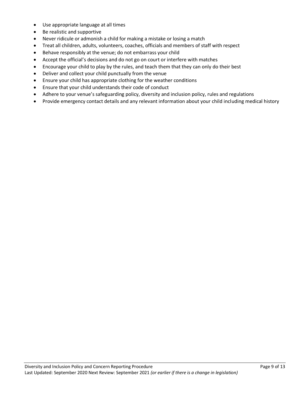- Use appropriate language at all times
- Be realistic and supportive
- Never ridicule or admonish a child for making a mistake or losing a match
- Treat all children, adults, volunteers, coaches, officials and members of staff with respect
- Behave responsibly at the venue; do not embarrass your child
- Accept the official's decisions and do not go on court or interfere with matches
- Encourage your child to play by the rules, and teach them that they can only do their best
- Deliver and collect your child punctually from the venue
- Ensure your child has appropriate clothing for the weather conditions
- Ensure that your child understands their code of conduct
- Adhere to your venue's safeguarding policy, diversity and inclusion policy, rules and regulations
- Provide emergency contact details and any relevant information about your child including medical history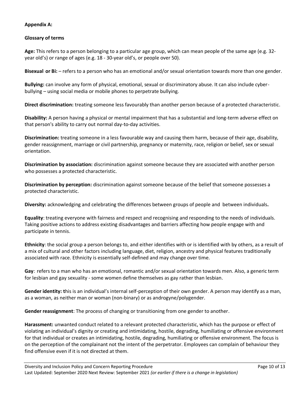# **Appendix A:**

#### **Glossary of terms**

**Age:** This refers to a person belonging to a particular age group, which can mean people of the same age (e.g. 32 year old's) or range of ages (e.g. 18 - 30-year old's, or people over 50).

**Bisexual or Bi:** – refers to a person who has an emotional and/or sexual orientation towards more than one gender.

**Bullying:** can involve any form of physical, emotional, sexual or discriminatory abuse. It can also include cyberbullying – using social media or mobile phones to perpetrate bullying.

**Direct discrimination:** treating someone less favourably than another person because of a protected characteristic.

**Disability:** A person having a physical or mental impairment that has a substantial and long-term adverse effect on that person's ability to carry out normal day-to-day activities.

**Discrimination:** treating someone in a less favourable way and causing them harm, because of their age, disability, gender reassignment, marriage or civil partnership, pregnancy or maternity, race, religion or belief, sex or sexual orientation.

**Discrimination by association:** discrimination against someone because they are associated with another person who possesses a protected characteristic.

**Discrimination by perception:** discrimination against someone because of the belief that someone possesses a protected characteristic.

**Diversity:** acknowledging and celebrating the differences between groups of people and between individuals**.**

**Equality**: treating everyone with fairness and respect and recognising and responding to the needs of individuals. Taking positive actions to address existing disadvantages and barriers affecting how people engage with and participate in tennis.

**Ethnicity**: the social group a person belongs to, and either identifies with or is identified with by others, as a result of a mix of cultural and other factors including language, diet, religion, ancestry and physical features traditionally associated with race. Ethnicity is essentially self-defined and may change over time.

**Gay**: refers to a man who has an emotional, romantic and/or sexual orientation towards men. Also, a generic term for lesbian and gay sexuality - some women define themselves as gay rather than lesbian.

**Gender identity: t**his is an individual's internal self-perception of their own gender. A person may identify as a man, as a woman, as neither man or woman (non-binary) or as androgyne/polygender.

**Gender reassignment**: The process of changing or transitioning from one gender to another.

**Harassment:** unwanted conduct related to a relevant protected characteristic, which has the purpose or effect of violating an individual's dignity or creating and intimidating, hostile, degrading, humiliating or offensive environment for that individual or creates an intimidating, hostile, degrading, humiliating or offensive environment. The focus is on the perception of the complainant not the intent of the perpetrator. Employees can complain of behaviour they find offensive even if it is not directed at them.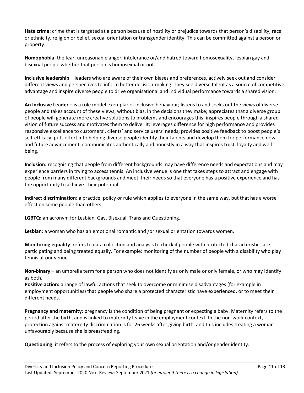**Hate crime:** crime that is targeted at a person because of hostility or prejudice towards that person's disability, race or ethnicity, religion or belief, sexual orientation or transgender identity. This can be committed against a person or property.

**Homophobia**: the fear, unreasonable anger, intolerance or/and hatred toward homosexuality, lesbian gay and bisexual people whether that person is homosexual or not.

**Inclusive leadership** – leaders who are aware of their own biases and preferences, actively seek out and consider different views and perspectives to inform better decision-making. They see diverse talent as a source of competitive advantage and inspire diverse people to drive organisational and individual performance towards a shared vision.

**An Inclusive Leader** – is a role model exemplar of inclusive behaviour; listens to and seeks out the views of diverse people and takes account of these views, without bias, in the decisions they make; appreciates that a diverse group of people will generate more creative solutions to problems and encourages this; inspires people through a shared vision of future success and motivates them to deliver it; leverages difference for high performance and provides responsive excellence to customers', clients' and service users' needs; provides positive feedback to boost people's self-efficacy; puts effort into helping diverse people identify their talents and develop them for performance now and future advancement; communicates authentically and honestly in a way that inspires trust, loyalty and wellbeing.

**Inclusion:** recognising that people from different backgrounds may have difference needs and expectations and may experience barriers in trying to access tennis. An inclusive venue is one that takes steps to attract and engage with people from many different backgrounds and meet their needs so that everyone has a positive experience and has the opportunity to achieve their potential.

**Indirect discrimination:** a practice, policy or rule which applies to everyone in the same way, but that has a worse effect on some people than others.

**LGBTQ:** an acronym for Lesbian, Gay, Bisexual, Trans and Questioning.

**Lesbian**: a woman who has an emotional romantic and /or sexual orientation towards women.

**Monitoring equality**: refers to data collection and analysis to check if people with protected characteristics are participating and being treated equally. For example: monitoring of the number of people with a disability who play tennis at our venue.

**Non-binary** – an umbrella term for a person who does not identify as only male or only female, or who may identify as both.

**Positive action:** a range of lawful actions that seek to overcome or minimise disadvantages (for example in employment opportunities) that people who share a protected characteristic have experienced, or to meet their different needs.

**Pregnancy and maternity**: pregnancy is the condition of being pregnant or expecting a baby. Maternity refers to the period after the birth, and is linked to maternity leave in the employment context. In the non-work context, protection against maternity discrimination is for 26 weeks after giving birth, and this includes treating a woman unfavourably because she is breastfeeding.

**Questioning**: it refers to the process of exploring your own sexual orientation and/or gender identity.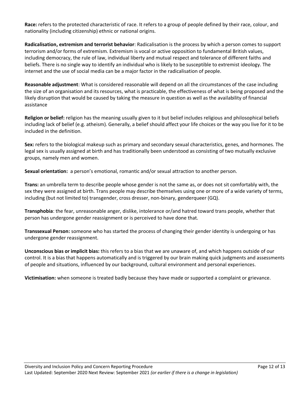**Race:** refers to the protected characteristic of race. It refers to a group of people defined by their race, colour, and nationality (including citizenship) ethnic or national origins.

**Radicalisation, extremism and terrorist behavior**: Radicalisation is the process by which a person comes to support terrorism and/or forms of extremism. Extremism is vocal or active opposition to fundamental British values, including democracy, the rule of law, individual liberty and mutual respect and tolerance of different faiths and beliefs. There is no single way to identify an individual who is likely to be susceptible to extremist ideology. The internet and the use of social media can be a major factor in the radicalisation of people.

**Reasonable adjustment**: What is considered reasonable will depend on all the circumstances of the case including the size of an organisation and its resources, what is practicable, the effectiveness of what is being proposed and the likely disruption that would be caused by taking the measure in question as well as the availability of financial assistance

**Religion or belief:** religion has the meaning usually given to it but belief includes religious and philosophical beliefs including lack of belief (e.g. atheism). Generally, a belief should affect your life choices or the way you live for it to be included in the definition.

**Sex:** refers to the biological makeup such as primary and secondary sexual characteristics, genes, and hormones. The legal sex is usually assigned at birth and has traditionally been understood as consisting of two mutually exclusive groups, namely men and women.

**Sexual orientation:** a person's emotional, romantic and/or sexual attraction to another person.

**Trans:** an umbrella term to describe people whose gender is not the same as, or does not sit comfortably with, the sex they were assigned at birth. Trans people may describe themselves using one or more of a wide variety of terms, including (but not limited to) transgender, cross dresser, non-binary, genderqueer (GQ).

**Transphobia**: the fear, unreasonable anger, dislike, intolerance or/and hatred toward trans people, whether that person has undergone gender reassignment or is perceived to have done that.

**Transsexual Person:** someone who has started the process of changing their gender identity is undergoing or has undergone gender reassignment.

**Unconscious bias or implicit bias:** this refers to a bias that we are unaware of, and which happens outside of our control. It is a bias that happens automatically and is triggered by our brain making quick judgments and assessments of people and situations, influenced by our background, cultural environment and personal experiences.

**Victimisation:** when someone is treated badly because they have made or supported a complaint or grievance.